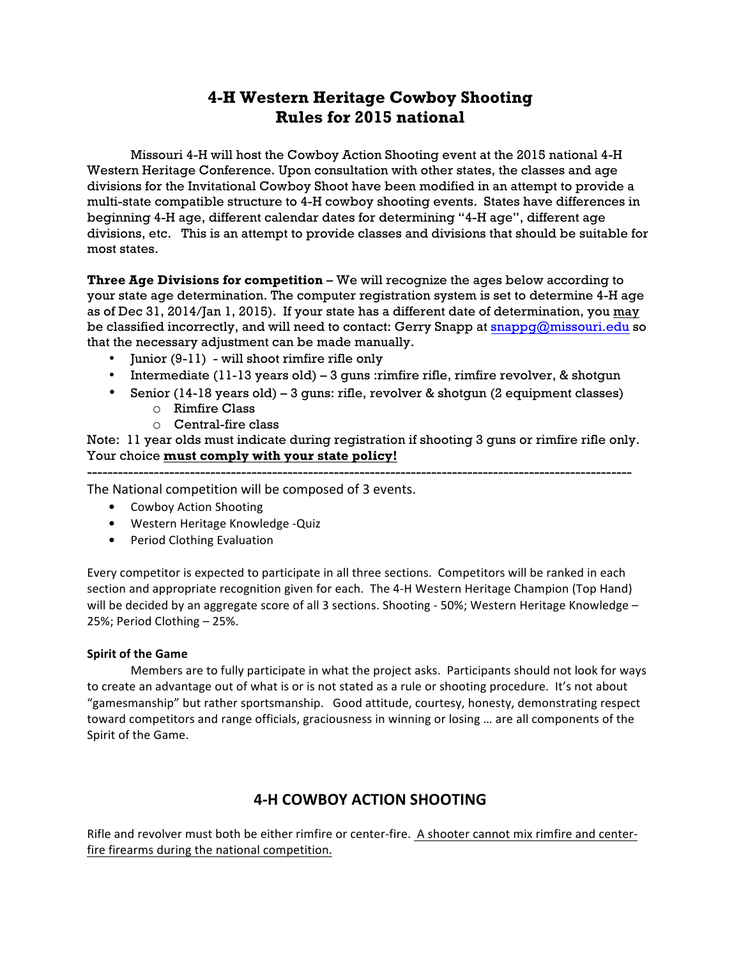# **4-H Western Heritage Cowboy Shooting Rules for 2015 national**

Missouri 4-H will host the Cowboy Action Shooting event at the 2015 national 4-H Western Heritage Conference. Upon consultation with other states, the classes and age divisions for the Invitational Cowboy Shoot have been modified in an attempt to provide a multi-state compatible structure to 4-H cowboy shooting events. States have differences in beginning 4-H age, different calendar dates for determining "4-H age", different age divisions, etc. This is an attempt to provide classes and divisions that should be suitable for most states.

**Three Age Divisions for competition** – We will recognize the ages below according to your state age determination. The computer registration system is set to determine 4-H age as of Dec 31, 2014/Jan 1, 2015). If your state has a different date of determination, you may be classified incorrectly, and will need to contact: Gerry Snapp at snappg@missouri.edu so that the necessary adjustment can be made manually.

- Junior (9-11) will shoot rimfire rifle only
- Intermediate  $(11-13 \text{ years old}) 3 \text{ guns}:$  rimfire rifle, rimfire revolver, & shotgun
- Senior (14-18 years old) 3 guns: rifle, revolver & shotgun (2 equipment classes)
	- o Rimfire Class
	- o Central-fire class

Note: 11 year olds must indicate during registration if shooting 3 guns or rimfire rifle only. Your choice **must comply with your state policy!**  ----------------------------------------------------------------------------------------------------------

The National competition will be composed of 3 events.

- Cowboy Action Shooting
- Western Heritage Knowledge -Quiz
- Period Clothing Evaluation

Every competitor is expected to participate in all three sections. Competitors will be ranked in each section and appropriate recognition given for each. The 4-H Western Heritage Champion (Top Hand) will be decided by an aggregate score of all 3 sections. Shooting - 50%; Western Heritage Knowledge -25%; Period Clothing  $-$  25%.

# **Spirit of the Game**

Members are to fully participate in what the project asks. Participants should not look for ways to create an advantage out of what is or is not stated as a rule or shooting procedure. It's not about "gamesmanship" but rather sportsmanship. Good attitude, courtesy, honesty, demonstrating respect toward competitors and range officials, graciousness in winning or losing ... are all components of the Spirit of the Game.

# **4-H COWBOY ACTION SHOOTING**

Rifle and revolver must both be either rimfire or center-fire. A shooter cannot mix rimfire and centerfire firearms during the national competition.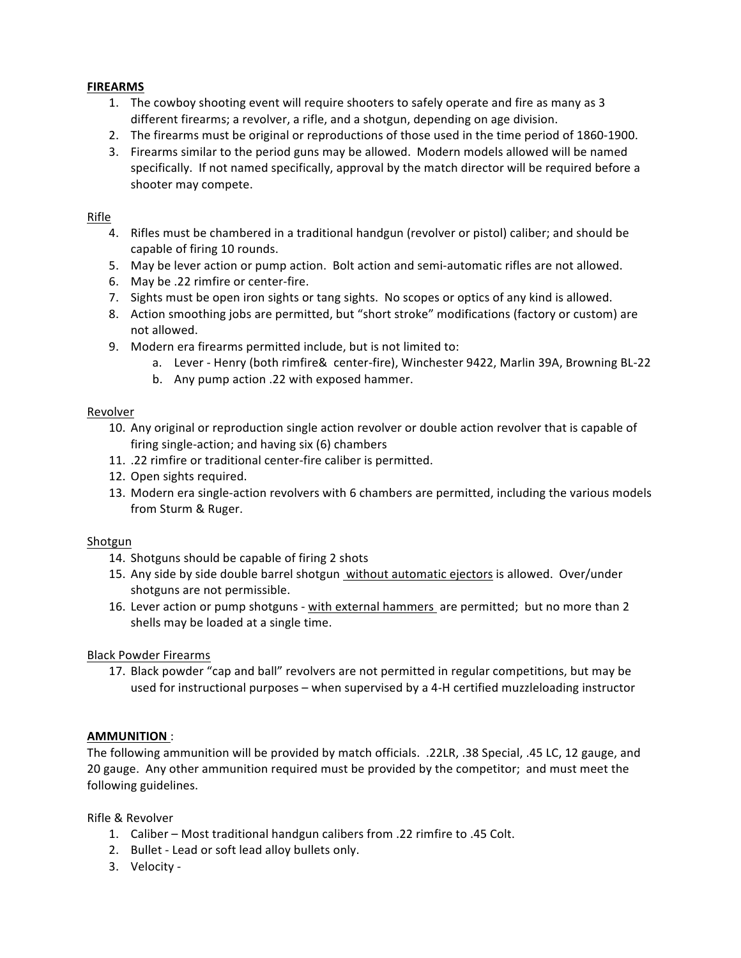# **FIREARMS**

- 1. The cowboy shooting event will require shooters to safely operate and fire as many as 3 different firearms; a revolver, a rifle, and a shotgun, depending on age division.
- 2. The firearms must be original or reproductions of those used in the time period of 1860-1900.
- 3. Firearms similar to the period guns may be allowed. Modern models allowed will be named specifically. If not named specifically, approval by the match director will be required before a shooter may compete.

# Rifle

- 4. Rifles must be chambered in a traditional handgun (revolver or pistol) caliber; and should be capable of firing 10 rounds.
- 5. May be lever action or pump action. Bolt action and semi-automatic rifles are not allowed.
- 6. May be .22 rimfire or center-fire.
- 7. Sights must be open iron sights or tang sights. No scopes or optics of any kind is allowed.
- 8. Action smoothing jobs are permitted, but "short stroke" modifications (factory or custom) are not allowed.
- 9. Modern era firearms permitted include, but is not limited to:
	- a. Lever Henry (both rimfire& center-fire), Winchester 9422, Marlin 39A, Browning BL-22
	- b. Any pump action .22 with exposed hammer.

# Revolver

- 10. Any original or reproduction single action revolver or double action revolver that is capable of firing single-action; and having  $six(6)$  chambers
- 11. .22 rimfire or traditional center-fire caliber is permitted.
- 12. Open sights required.
- 13. Modern era single-action revolvers with 6 chambers are permitted, including the various models from Sturm & Ruger.

# Shotgun

- 14. Shotguns should be capable of firing 2 shots
- 15. Any side by side double barrel shotgun without automatic ejectors is allowed. Over/under shotguns are not permissible.
- 16. Lever action or pump shotguns with external hammers are permitted; but no more than 2 shells may be loaded at a single time.

# Black Powder Firearms

17. Black powder "cap and ball" revolvers are not permitted in regular competitions, but may be used for instructional purposes - when supervised by a 4-H certified muzzleloading instructor

# **AMMUNITION** :

The following ammunition will be provided by match officials. .22LR, .38 Special, .45 LC, 12 gauge, and 20 gauge. Any other ammunition required must be provided by the competitor; and must meet the following guidelines.

Rifle & Revolver

- 1. Caliber Most traditional handgun calibers from .22 rimfire to .45 Colt.
- 2. Bullet Lead or soft lead alloy bullets only.
- 3. Velocity -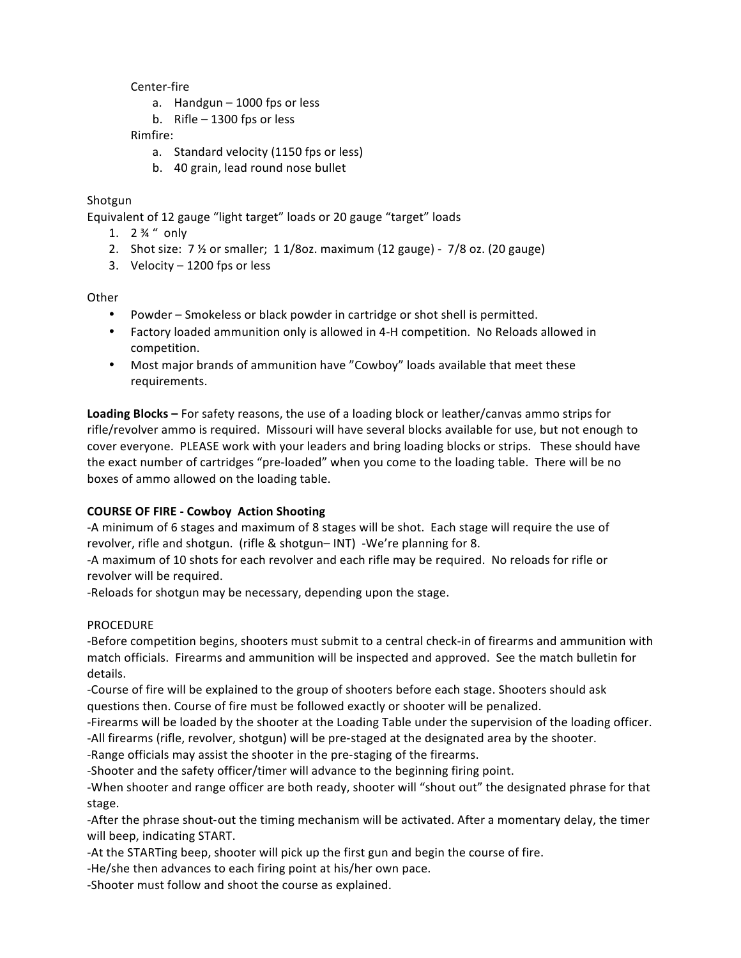Center-fire

- a. Handgun  $-$  1000 fps or less
- b. Rifle  $-$  1300 fps or less

Rimfire: 

- a. Standard velocity (1150 fps or less)
- b. 40 grain, lead round nose bullet

# Shotgun

Equivalent of 12 gauge "light target" loads or 20 gauge "target" loads

- 1.  $2 \frac{3}{4}$  " only
- 2. Shot size:  $7\frac{1}{2}$  or smaller;  $1\frac{1}{8}$ oz. maximum  $(12 \text{ gauge})$   $7\frac{1}{8}$  oz.  $(20 \text{ gauge})$
- 3. Velocity  $-1200$  fps or less

**Other** 

- Powder Smokeless or black powder in cartridge or shot shell is permitted.
- Factory loaded ammunition only is allowed in 4-H competition. No Reloads allowed in competition.
- Most major brands of ammunition have "Cowboy" loads available that meet these requirements.

**Loading Blocks** – For safety reasons, the use of a loading block or leather/canvas ammo strips for rifle/revolver ammo is required. Missouri will have several blocks available for use, but not enough to cover everyone. PLEASE work with your leaders and bring loading blocks or strips. These should have the exact number of cartridges "pre-loaded" when you come to the loading table. There will be no boxes of ammo allowed on the loading table.

# **COURSE OF FIRE - Cowboy Action Shooting**

-A minimum of 6 stages and maximum of 8 stages will be shot. Each stage will require the use of revolver, rifle and shotgun. (rifle & shotgun– INT) -We're planning for 8.

-A maximum of 10 shots for each revolver and each rifle may be required. No reloads for rifle or revolver will be required.

-Reloads for shotgun may be necessary, depending upon the stage.

# PROCEDURE

-Before competition begins, shooters must submit to a central check-in of firearms and ammunition with match officials. Firearms and ammunition will be inspected and approved. See the match bulletin for details.

-Course of fire will be explained to the group of shooters before each stage. Shooters should ask questions then. Course of fire must be followed exactly or shooter will be penalized.

-Firearms will be loaded by the shooter at the Loading Table under the supervision of the loading officer.

-All firearms (rifle, revolver, shotgun) will be pre-staged at the designated area by the shooter.

-Range officials may assist the shooter in the pre-staging of the firearms.

-Shooter and the safety officer/timer will advance to the beginning firing point.

-When shooter and range officer are both ready, shooter will "shout out" the designated phrase for that stage.

-After the phrase shout-out the timing mechanism will be activated. After a momentary delay, the timer will beep, indicating START.

-At the STARTing beep, shooter will pick up the first gun and begin the course of fire.

-He/she then advances to each firing point at his/her own pace.

-Shooter must follow and shoot the course as explained.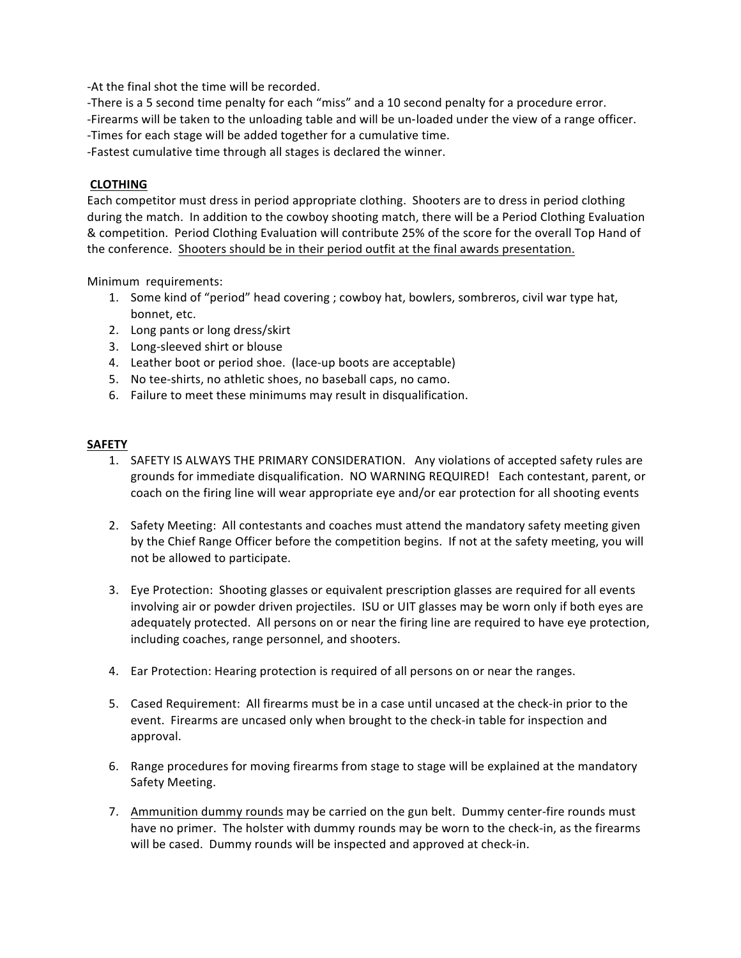-At the final shot the time will be recorded.

-There is a 5 second time penalty for each "miss" and a 10 second penalty for a procedure error.

-Firearms will be taken to the unloading table and will be un-loaded under the view of a range officer.

-Times for each stage will be added together for a cumulative time.

-Fastest cumulative time through all stages is declared the winner.

# **CLOTHING**

Each competitor must dress in period appropriate clothing. Shooters are to dress in period clothing during the match. In addition to the cowboy shooting match, there will be a Period Clothing Evaluation & competition. Period Clothing Evaluation will contribute 25% of the score for the overall Top Hand of the conference. Shooters should be in their period outfit at the final awards presentation.

Minimum requirements:

- 1. Some kind of "period" head covering ; cowboy hat, bowlers, sombreros, civil war type hat, bonnet, etc.
- 2. Long pants or long dress/skirt
- 3. Long-sleeved shirt or blouse
- 4. Leather boot or period shoe. (lace-up boots are acceptable)
- 5. No tee-shirts, no athletic shoes, no baseball caps, no camo.
- 6. Failure to meet these minimums may result in disqualification.

# **SAFETY**

- 1. SAFETY IS ALWAYS THE PRIMARY CONSIDERATION. Any violations of accepted safety rules are grounds for immediate disqualification. NO WARNING REQUIRED! Each contestant, parent, or coach on the firing line will wear appropriate eye and/or ear protection for all shooting events
- 2. Safety Meeting: All contestants and coaches must attend the mandatory safety meeting given by the Chief Range Officer before the competition begins. If not at the safety meeting, you will not be allowed to participate.
- 3. Eye Protection: Shooting glasses or equivalent prescription glasses are required for all events involving air or powder driven projectiles. ISU or UIT glasses may be worn only if both eyes are adequately protected. All persons on or near the firing line are required to have eye protection, including coaches, range personnel, and shooters.
- 4. Ear Protection: Hearing protection is required of all persons on or near the ranges.
- 5. Cased Requirement: All firearms must be in a case until uncased at the check-in prior to the event. Firearms are uncased only when brought to the check-in table for inspection and approval.
- 6. Range procedures for moving firearms from stage to stage will be explained at the mandatory Safety Meeting.
- 7. Ammunition dummy rounds may be carried on the gun belt. Dummy center-fire rounds must have no primer. The holster with dummy rounds may be worn to the check-in, as the firearms will be cased. Dummy rounds will be inspected and approved at check-in.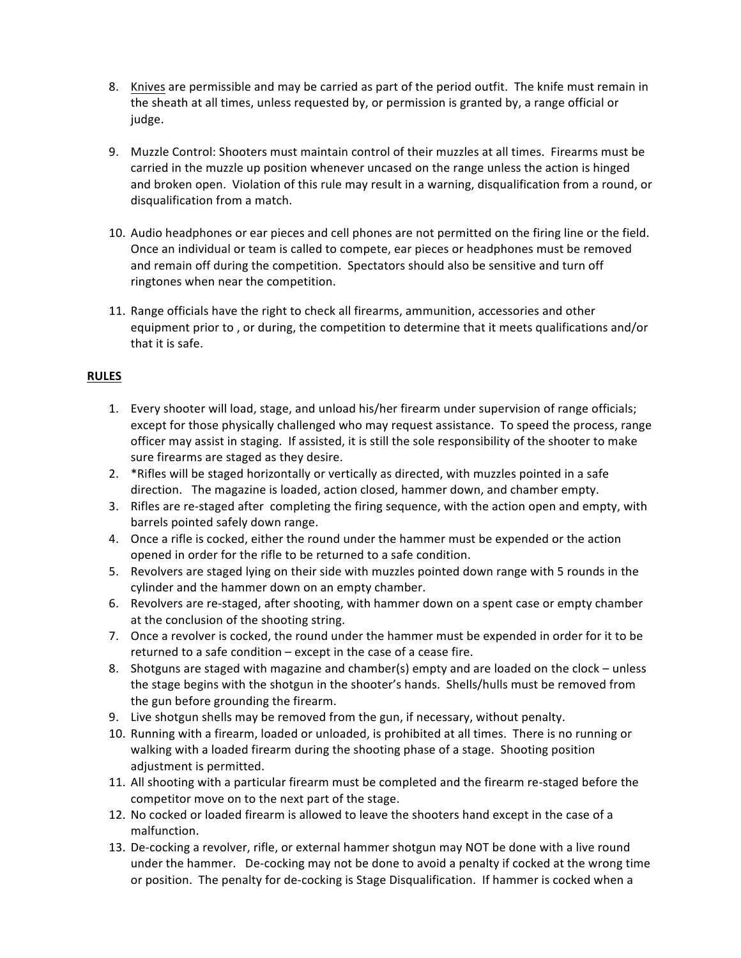- 8. Knives are permissible and may be carried as part of the period outfit. The knife must remain in the sheath at all times, unless requested by, or permission is granted by, a range official or judge.
- 9. Muzzle Control: Shooters must maintain control of their muzzles at all times. Firearms must be carried in the muzzle up position whenever uncased on the range unless the action is hinged and broken open. Violation of this rule may result in a warning, disqualification from a round, or disqualification from a match.
- 10. Audio headphones or ear pieces and cell phones are not permitted on the firing line or the field. Once an individual or team is called to compete, ear pieces or headphones must be removed and remain off during the competition. Spectators should also be sensitive and turn off ringtones when near the competition.
- 11. Range officials have the right to check all firearms, ammunition, accessories and other equipment prior to, or during, the competition to determine that it meets qualifications and/or that it is safe.

# **RULES**

- 1. Every shooter will load, stage, and unload his/her firearm under supervision of range officials; except for those physically challenged who may request assistance. To speed the process, range officer may assist in staging. If assisted, it is still the sole responsibility of the shooter to make sure firearms are staged as they desire.
- 2. \* Rifles will be staged horizontally or vertically as directed, with muzzles pointed in a safe direction. The magazine is loaded, action closed, hammer down, and chamber empty.
- 3. Rifles are re-staged after completing the firing sequence, with the action open and empty, with barrels pointed safely down range.
- 4. Once a rifle is cocked, either the round under the hammer must be expended or the action opened in order for the rifle to be returned to a safe condition.
- 5. Revolvers are staged lying on their side with muzzles pointed down range with 5 rounds in the cylinder and the hammer down on an empty chamber.
- 6. Revolvers are re-staged, after shooting, with hammer down on a spent case or empty chamber at the conclusion of the shooting string.
- 7. Once a revolver is cocked, the round under the hammer must be expended in order for it to be returned to a safe condition  $-$  except in the case of a cease fire.
- 8. Shotguns are staged with magazine and chamber(s) empty and are loaded on the clock unless the stage begins with the shotgun in the shooter's hands. Shells/hulls must be removed from the gun before grounding the firearm.
- 9. Live shotgun shells may be removed from the gun, if necessary, without penalty.
- 10. Running with a firearm, loaded or unloaded, is prohibited at all times. There is no running or walking with a loaded firearm during the shooting phase of a stage. Shooting position adjustment is permitted.
- 11. All shooting with a particular firearm must be completed and the firearm re-staged before the competitor move on to the next part of the stage.
- 12. No cocked or loaded firearm is allowed to leave the shooters hand except in the case of a malfunction.
- 13. De-cocking a revolver, rifle, or external hammer shotgun may NOT be done with a live round under the hammer. De-cocking may not be done to avoid a penalty if cocked at the wrong time or position. The penalty for de-cocking is Stage Disqualification. If hammer is cocked when a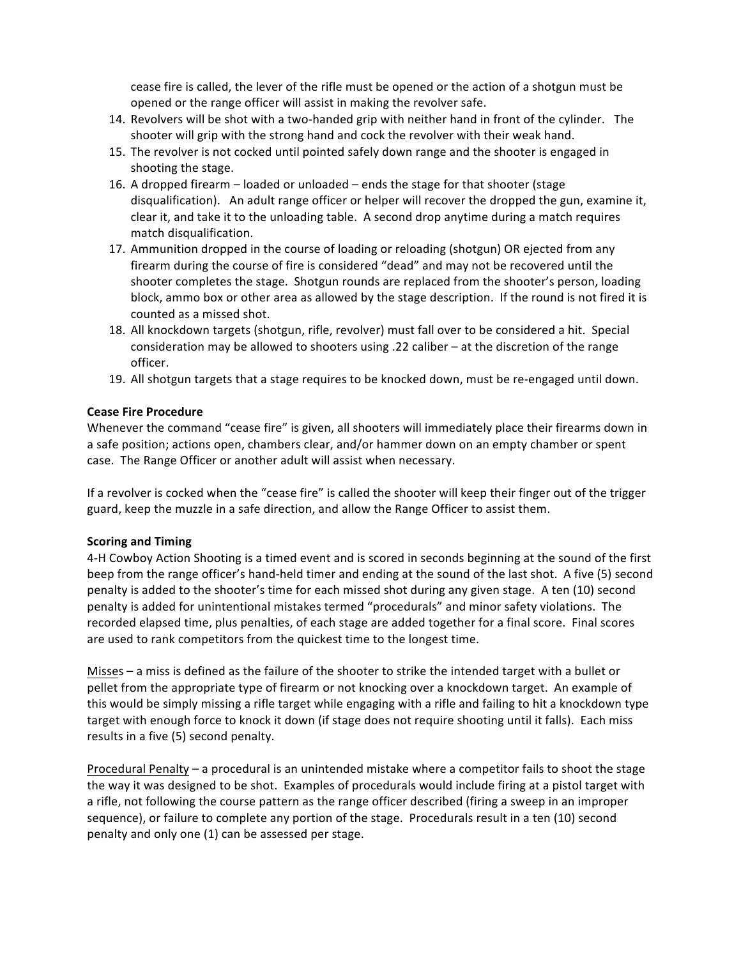cease fire is called, the lever of the rifle must be opened or the action of a shotgun must be opened or the range officer will assist in making the revolver safe.

- 14. Revolvers will be shot with a two-handed grip with neither hand in front of the cylinder. The shooter will grip with the strong hand and cock the revolver with their weak hand.
- 15. The revolver is not cocked until pointed safely down range and the shooter is engaged in shooting the stage.
- 16. A dropped firearm  $-$  loaded or unloaded  $-$  ends the stage for that shooter (stage disqualification). An adult range officer or helper will recover the dropped the gun, examine it, clear it, and take it to the unloading table. A second drop anytime during a match requires match disqualification.
- 17. Ammunition dropped in the course of loading or reloading (shotgun) OR ejected from any firearm during the course of fire is considered "dead" and may not be recovered until the shooter completes the stage. Shotgun rounds are replaced from the shooter's person, loading block, ammo box or other area as allowed by the stage description. If the round is not fired it is counted as a missed shot.
- 18. All knockdown targets (shotgun, rifle, revolver) must fall over to be considered a hit. Special consideration may be allowed to shooters using  $.22$  caliber – at the discretion of the range officer.
- 19. All shotgun targets that a stage requires to be knocked down, must be re-engaged until down.

# **Cease Fire Procedure**

Whenever the command "cease fire" is given, all shooters will immediately place their firearms down in a safe position; actions open, chambers clear, and/or hammer down on an empty chamber or spent case. The Range Officer or another adult will assist when necessary.

If a revolver is cocked when the "cease fire" is called the shooter will keep their finger out of the trigger guard, keep the muzzle in a safe direction, and allow the Range Officer to assist them.

# **Scoring and Timing**

4-H Cowboy Action Shooting is a timed event and is scored in seconds beginning at the sound of the first beep from the range officer's hand-held timer and ending at the sound of the last shot. A five (5) second penalty is added to the shooter's time for each missed shot during any given stage. A ten (10) second penalty is added for unintentional mistakes termed "procedurals" and minor safety violations. The recorded elapsed time, plus penalties, of each stage are added together for a final score. Final scores are used to rank competitors from the quickest time to the longest time.

Misses – a miss is defined as the failure of the shooter to strike the intended target with a bullet or pellet from the appropriate type of firearm or not knocking over a knockdown target. An example of this would be simply missing a rifle target while engaging with a rifle and failing to hit a knockdown type target with enough force to knock it down (if stage does not require shooting until it falls). Each miss results in a five (5) second penalty.

Procedural Penalty – a procedural is an unintended mistake where a competitor fails to shoot the stage the way it was designed to be shot. Examples of procedurals would include firing at a pistol target with a rifle, not following the course pattern as the range officer described (firing a sweep in an improper sequence), or failure to complete any portion of the stage. Procedurals result in a ten (10) second penalty and only one (1) can be assessed per stage.